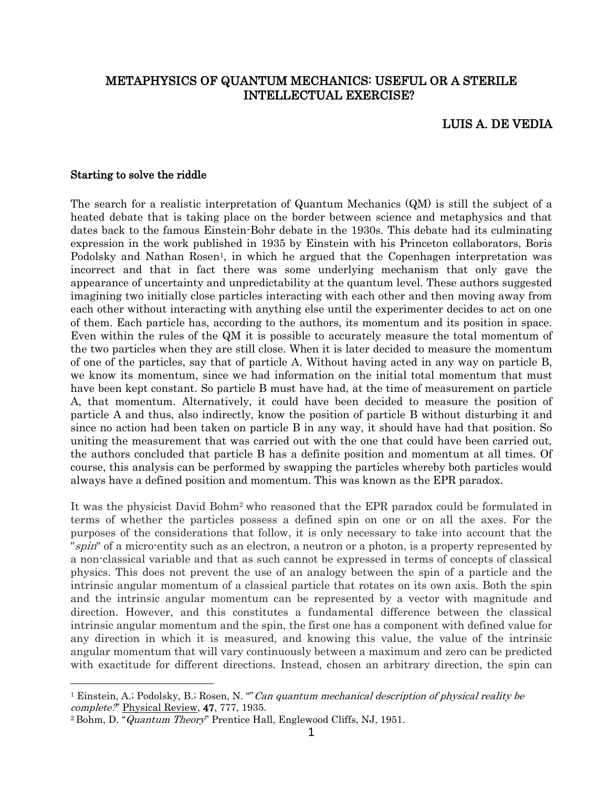# METAPHYSICS OF QUANTUM MECHANICS: USEFUL OR A STERILE INTELLECTUAL EXERCISE?

### LUIS A. DE VEDIA

#### Starting to solve the riddle

l

The search for a realistic interpretation of Quantum Mechanics (QM) is still the subject of a heated debate that is taking place on the border between science and metaphysics and that dates back to the famous Einstein-Bohr debate in the 1930s. This debate had its culminating expression in the work published in 1935 by Einstein with his Princeton collaborators, Boris Podolsky and Nathan Rosen<sup>1</sup>, in which he argued that the Copenhagen interpretation was incorrect and that in fact there was some underlying mechanism that only gave the appearance of uncertainty and unpredictability at the quantum level. These authors suggested imagining two initially close particles interacting with each other and then moving away from each other without interacting with anything else until the experimenter decides to act on one of them. Each particle has, according to the authors, its momentum and its position in space. Even within the rules of the QM it is possible to accurately measure the total momentum of the two particles when they are still close. When it is later decided to measure the momentum of one of the particles, say that of particle A. Without having acted in any way on particle B, we know its momentum, since we had information on the initial total momentum that must have been kept constant. So particle B must have had, at the time of measurement on particle A, that momentum. Alternatively, it could have been decided to measure the position of particle A and thus, also indirectly, know the position of particle B without disturbing it and since no action had been taken on particle B in any way, it should have had that position. So uniting the measurement that was carried out with the one that could have been carried out, the authors concluded that particle B has a definite position and momentum at all times. Of course, this analysis can be performed by swapping the particles whereby both particles would always have a defined position and momentum. This was known as the EPR paradox.

It was the physicist David Bohm<sup>2</sup> who reasoned that the EPR paradox could be formulated in terms of whether the particles possess a defined spin on one or on all the axes. For the purposes of the considerations that follow, it is only necessary to take into account that the "spin" of a micro-entity such as an electron, a neutron or a photon, is a property represented by a non-classical variable and that as such cannot be expressed in terms of concepts of classical physics. This does not prevent the use of an analogy between the spin of a particle and the intrinsic angular momentum of a classical particle that rotates on its own axis. Both the spin and the intrinsic angular momentum can be represented by a vector with magnitude and direction. However, and this constitutes a fundamental difference between the classical intrinsic angular momentum and the spin, the first one has a component with defined value for any direction in which it is measured, and knowing this value, the value of the intrinsic angular momentum that will vary continuously between a maximum and zero can be predicted with exactitude for different directions. Instead, chosen an arbitrary direction, the spin can

<sup>&</sup>lt;sup>1</sup> Einstein, A.; Podolsky, B.; Rosen, N. ""Can quantum mechanical description of physical reality be complete?" Physical Review, 47, 777, 1935.

<sup>&</sup>lt;sup>2</sup> Bohm, D. "Quantum Theory" Prentice Hall, Englewood Cliffs, NJ, 1951.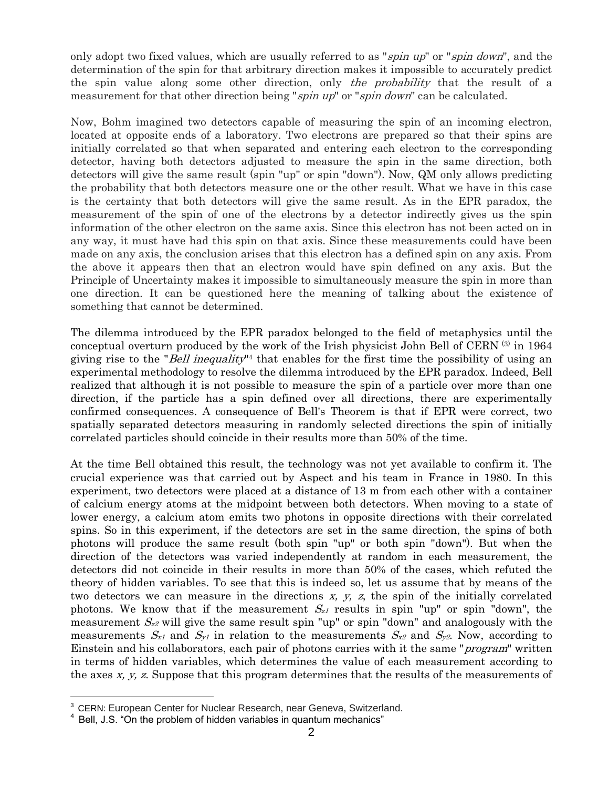only adopt two fixed values, which are usually referred to as "*spin up*" or "*spin down*", and the determination of the spin for that arbitrary direction makes it impossible to accurately predict the spin value along some other direction, only the probability that the result of a measurement for that other direction being "spin up" or "spin down" can be calculated.

Now, Bohm imagined two detectors capable of measuring the spin of an incoming electron, located at opposite ends of a laboratory. Two electrons are prepared so that their spins are initially correlated so that when separated and entering each electron to the corresponding detector, having both detectors adjusted to measure the spin in the same direction, both detectors will give the same result (spin "up" or spin "down"). Now, QM only allows predicting the probability that both detectors measure one or the other result. What we have in this case is the certainty that both detectors will give the same result. As in the EPR paradox, the measurement of the spin of one of the electrons by a detector indirectly gives us the spin information of the other electron on the same axis. Since this electron has not been acted on in any way, it must have had this spin on that axis. Since these measurements could have been made on any axis, the conclusion arises that this electron has a defined spin on any axis. From the above it appears then that an electron would have spin defined on any axis. But the Principle of Uncertainty makes it impossible to simultaneously measure the spin in more than one direction. It can be questioned here the meaning of talking about the existence of something that cannot be determined.

The dilemma introduced by the EPR paradox belonged to the field of metaphysics until the conceptual overturn produced by the work of the Irish physicist John Bell of CERN (3) in 1964 giving rise to the "*Bell inequality*"<sup>4</sup> that enables for the first time the possibility of using an experimental methodology to resolve the dilemma introduced by the EPR paradox. Indeed, Bell realized that although it is not possible to measure the spin of a particle over more than one direction, if the particle has a spin defined over all directions, there are experimentally confirmed consequences. A consequence of Bell's Theorem is that if EPR were correct, two spatially separated detectors measuring in randomly selected directions the spin of initially correlated particles should coincide in their results more than 50% of the time.

At the time Bell obtained this result, the technology was not yet available to confirm it. The crucial experience was that carried out by Aspect and his team in France in 1980. In this experiment, two detectors were placed at a distance of 13 m from each other with a container of calcium energy atoms at the midpoint between both detectors. When moving to a state of lower energy, a calcium atom emits two photons in opposite directions with their correlated spins. So in this experiment, if the detectors are set in the same direction, the spins of both photons will produce the same result (both spin "up" or both spin "down"). But when the direction of the detectors was varied independently at random in each measurement, the detectors did not coincide in their results in more than 50% of the cases, which refuted the theory of hidden variables. To see that this is indeed so, let us assume that by means of the two detectors we can measure in the directions  $x, y, z$ , the spin of the initially correlated photons. We know that if the measurement  $S_{z1}$  results in spin "up" or spin "down", the measurement  $S_{z2}$  will give the same result spin "up" or spin "down" and analogously with the measurements  $S_{x1}$  and  $S_{y1}$  in relation to the measurements  $S_{x2}$  and  $S_{y2}$ . Now, according to Einstein and his collaborators, each pair of photons carries with it the same "program" written in terms of hidden variables, which determines the value of each measurement according to the axes x, y, z. Suppose that this program determines that the results of the measurements of

<sup>&</sup>lt;sup>3</sup> CERN: European Center for Nuclear Research, near Geneva, Switzerland. 4

Bell, J.S. "On the problem of hidden variables in quantum mechanics"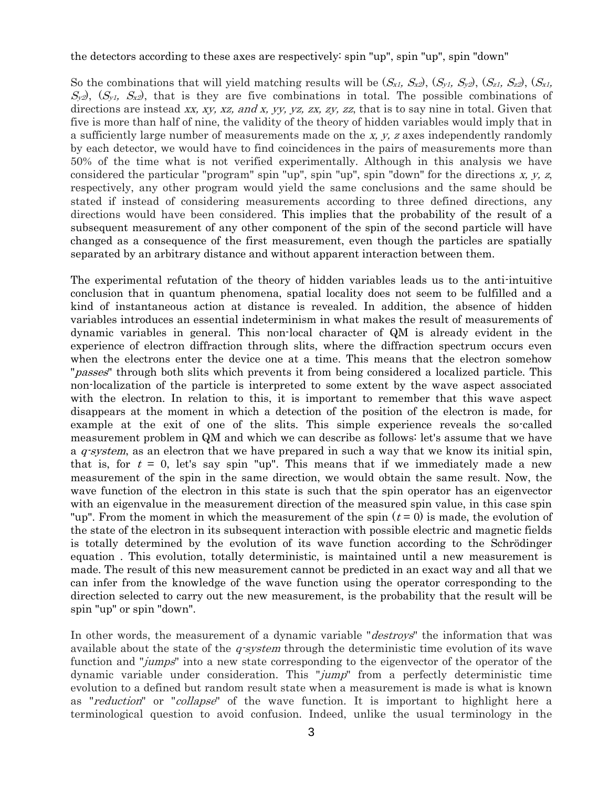#### the detectors according to these axes are respectively: spin "up", spin "up", spin "down"

So the combinations that will yield matching results will be  $(S_{x1}, S_{x2})$ ,  $(S_{y1}, S_{y2})$ ,  $(S_{z1}, S_{z2})$ ,  $(S_{x1}, S_{y2})$  $S_{y2}$ ,  $(S_{y1}, S_{x2})$ , that is they are five combinations in total. The possible combinations of directions are instead xx, xy, xz, and x, yy, yz, zx, zy, zz, that is to say nine in total. Given that five is more than half of nine, the validity of the theory of hidden variables would imply that in a sufficiently large number of measurements made on the x, y, z axes independently randomly by each detector, we would have to find coincidences in the pairs of measurements more than 50% of the time what is not verified experimentally. Although in this analysis we have considered the particular "program" spin "up", spin "up", spin "down" for the directions  $x, y, z$ , respectively, any other program would yield the same conclusions and the same should be stated if instead of considering measurements according to three defined directions, any directions would have been considered. This implies that the probability of the result of a subsequent measurement of any other component of the spin of the second particle will have changed as a consequence of the first measurement, even though the particles are spatially separated by an arbitrary distance and without apparent interaction between them.

The experimental refutation of the theory of hidden variables leads us to the anti-intuitive conclusion that in quantum phenomena, spatial locality does not seem to be fulfilled and a kind of instantaneous action at distance is revealed. In addition, the absence of hidden variables introduces an essential indeterminism in what makes the result of measurements of dynamic variables in general. This non-local character of QM is already evident in the experience of electron diffraction through slits, where the diffraction spectrum occurs even when the electrons enter the device one at a time. This means that the electron somehow "*passes*" through both slits which prevents it from being considered a localized particle. This non-localization of the particle is interpreted to some extent by the wave aspect associated with the electron. In relation to this, it is important to remember that this wave aspect disappears at the moment in which a detection of the position of the electron is made, for example at the exit of one of the slits. This simple experience reveals the so-called measurement problem in QM and which we can describe as follows: let's assume that we have a  $q$ -system, as an electron that we have prepared in such a way that we know its initial spin, that is, for  $t = 0$ , let's say spin "up". This means that if we immediately made a new measurement of the spin in the same direction, we would obtain the same result. Now, the wave function of the electron in this state is such that the spin operator has an eigenvector with an eigenvalue in the measurement direction of the measured spin value, in this case spin "up". From the moment in which the measurement of the spin  $(t = 0)$  is made, the evolution of the state of the electron in its subsequent interaction with possible electric and magnetic fields is totally determined by the evolution of its wave function according to the Schrödinger equation . This evolution, totally deterministic, is maintained until a new measurement is made. The result of this new measurement cannot be predicted in an exact way and all that we can infer from the knowledge of the wave function using the operator corresponding to the direction selected to carry out the new measurement, is the probability that the result will be spin "up" or spin "down".

In other words, the measurement of a dynamic variable "*destroys*" the information that was available about the state of the  $q$ -system through the deterministic time evolution of its wave function and "*jumps*" into a new state corresponding to the eigenvector of the operator of the dynamic variable under consideration. This "jump" from a perfectly deterministic time evolution to a defined but random result state when a measurement is made is what is known as "reduction" or "collapse" of the wave function. It is important to highlight here a terminological question to avoid confusion. Indeed, unlike the usual terminology in the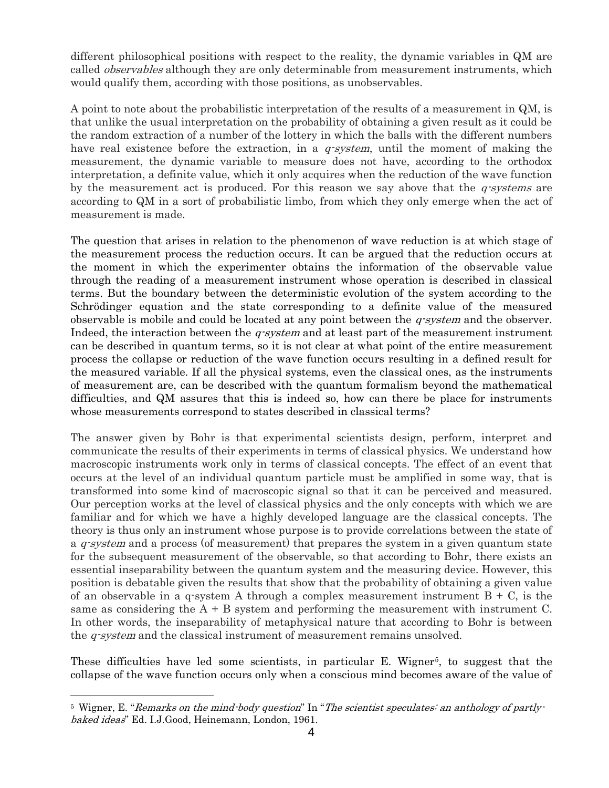different philosophical positions with respect to the reality, the dynamic variables in QM are called *observables* although they are only determinable from measurement instruments, which would qualify them, according with those positions, as unobservables.

A point to note about the probabilistic interpretation of the results of a measurement in QM, is that unlike the usual interpretation on the probability of obtaining a given result as it could be the random extraction of a number of the lottery in which the balls with the different numbers have real existence before the extraction, in a *q-system*, until the moment of making the measurement, the dynamic variable to measure does not have, according to the orthodox interpretation, a definite value, which it only acquires when the reduction of the wave function by the measurement act is produced. For this reason we say above that the  $q$ -systems are according to QM in a sort of probabilistic limbo, from which they only emerge when the act of measurement is made.

The question that arises in relation to the phenomenon of wave reduction is at which stage of the measurement process the reduction occurs. It can be argued that the reduction occurs at the moment in which the experimenter obtains the information of the observable value through the reading of a measurement instrument whose operation is described in classical terms. But the boundary between the deterministic evolution of the system according to the Schrödinger equation and the state corresponding to a definite value of the measured observable is mobile and could be located at any point between the *q-system* and the observer. Indeed, the interaction between the  $q$ -system and at least part of the measurement instrument can be described in quantum terms, so it is not clear at what point of the entire measurement process the collapse or reduction of the wave function occurs resulting in a defined result for the measured variable. If all the physical systems, even the classical ones, as the instruments of measurement are, can be described with the quantum formalism beyond the mathematical difficulties, and QM assures that this is indeed so, how can there be place for instruments whose measurements correspond to states described in classical terms?

The answer given by Bohr is that experimental scientists design, perform, interpret and communicate the results of their experiments in terms of classical physics. We understand how macroscopic instruments work only in terms of classical concepts. The effect of an event that occurs at the level of an individual quantum particle must be amplified in some way, that is transformed into some kind of macroscopic signal so that it can be perceived and measured. Our perception works at the level of classical physics and the only concepts with which we are familiar and for which we have a highly developed language are the classical concepts. The theory is thus only an instrument whose purpose is to provide correlations between the state of a  $q$ -system and a process (of measurement) that prepares the system in a given quantum state for the subsequent measurement of the observable, so that according to Bohr, there exists an essential inseparability between the quantum system and the measuring device. However, this position is debatable given the results that show that the probability of obtaining a given value of an observable in a q-system A through a complex measurement instrument  $B + C$ , is the same as considering the  $A + B$  system and performing the measurement with instrument C. In other words, the inseparability of metaphysical nature that according to Bohr is between the  $q$ -system and the classical instrument of measurement remains unsolved.

These difficulties have led some scientists, in particular E. Wigner<sup>5</sup>, to suggest that the collapse of the wave function occurs only when a conscious mind becomes aware of the value of

<sup>&</sup>lt;sup>5</sup> Wigner, E. "Remarks on the mind-body question" In "The scientist speculates: an anthology of partlybaked ideas" Ed. I.J.Good, Heinemann, London, 1961.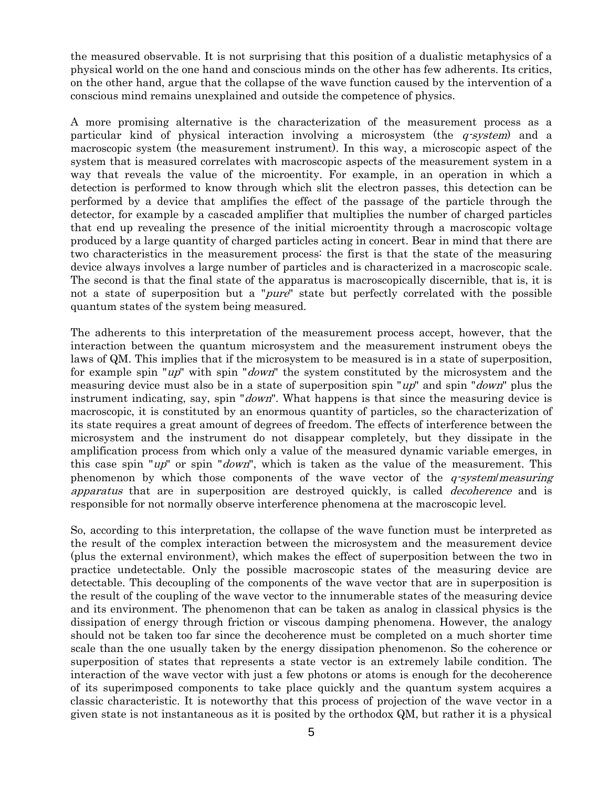the measured observable. It is not surprising that this position of a dualistic metaphysics of a physical world on the one hand and conscious minds on the other has few adherents. Its critics, on the other hand, argue that the collapse of the wave function caused by the intervention of a conscious mind remains unexplained and outside the competence of physics.

A more promising alternative is the characterization of the measurement process as a particular kind of physical interaction involving a microsystem (the  $q$ -system) and a macroscopic system (the measurement instrument). In this way, a microscopic aspect of the system that is measured correlates with macroscopic aspects of the measurement system in a way that reveals the value of the microentity. For example, in an operation in which a detection is performed to know through which slit the electron passes, this detection can be performed by a device that amplifies the effect of the passage of the particle through the detector, for example by a cascaded amplifier that multiplies the number of charged particles that end up revealing the presence of the initial microentity through a macroscopic voltage produced by a large quantity of charged particles acting in concert. Bear in mind that there are two characteristics in the measurement process: the first is that the state of the measuring device always involves a large number of particles and is characterized in a macroscopic scale. The second is that the final state of the apparatus is macroscopically discernible, that is, it is not a state of superposition but a "*pure*" state but perfectly correlated with the possible quantum states of the system being measured.

The adherents to this interpretation of the measurement process accept, however, that the interaction between the quantum microsystem and the measurement instrument obeys the laws of QM. This implies that if the microsystem to be measured is in a state of superposition, for example spin "up" with spin "down" the system constituted by the microsystem and the measuring device must also be in a state of superposition spin "up" and spin "down" plus the instrument indicating, say, spin "*down*". What happens is that since the measuring device is macroscopic, it is constituted by an enormous quantity of particles, so the characterization of its state requires a great amount of degrees of freedom. The effects of interference between the microsystem and the instrument do not disappear completely, but they dissipate in the amplification process from which only a value of the measured dynamic variable emerges, in this case spin " $up$ " or spin " $down$ ", which is taken as the value of the measurement. This phenomenon by which those components of the wave vector of the *q-system/measuring* apparatus that are in superposition are destroyed quickly, is called *decoherence* and is responsible for not normally observe interference phenomena at the macroscopic level.

So, according to this interpretation, the collapse of the wave function must be interpreted as the result of the complex interaction between the microsystem and the measurement device (plus the external environment), which makes the effect of superposition between the two in practice undetectable. Only the possible macroscopic states of the measuring device are detectable. This decoupling of the components of the wave vector that are in superposition is the result of the coupling of the wave vector to the innumerable states of the measuring device and its environment. The phenomenon that can be taken as analog in classical physics is the dissipation of energy through friction or viscous damping phenomena. However, the analogy should not be taken too far since the decoherence must be completed on a much shorter time scale than the one usually taken by the energy dissipation phenomenon. So the coherence or superposition of states that represents a state vector is an extremely labile condition. The interaction of the wave vector with just a few photons or atoms is enough for the decoherence of its superimposed components to take place quickly and the quantum system acquires a classic characteristic. It is noteworthy that this process of projection of the wave vector in a given state is not instantaneous as it is posited by the orthodox QM, but rather it is a physical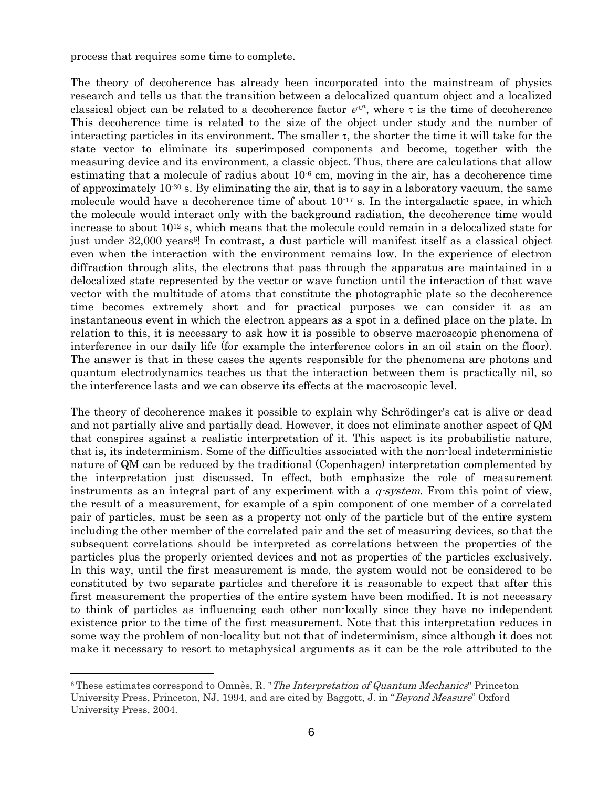process that requires some time to complete.

The theory of decoherence has already been incorporated into the mainstream of physics research and tells us that the transition between a delocalized quantum object and a localized classical object can be related to a decoherence factor  $e^{t\tau}$ , where  $\tau$  is the time of decoherence This decoherence time is related to the size of the object under study and the number of interacting particles in its environment. The smaller  $\tau$ , the shorter the time it will take for the state vector to eliminate its superimposed components and become, together with the measuring device and its environment, a classic object. Thus, there are calculations that allow estimating that a molecule of radius about  $10^{-6}$  cm, moving in the air, has a decoherence time of approximately  $10^{-30}$  s. By eliminating the air, that is to say in a laboratory vacuum, the same molecule would have a decoherence time of about  $10^{-17}$  s. In the intergalactic space, in which the molecule would interact only with the background radiation, the decoherence time would increase to about  $10^{12}$  s, which means that the molecule could remain in a delocalized state for just under 32,000 years<sup>6!</sup> In contrast, a dust particle will manifest itself as a classical object even when the interaction with the environment remains low. In the experience of electron diffraction through slits, the electrons that pass through the apparatus are maintained in a delocalized state represented by the vector or wave function until the interaction of that wave vector with the multitude of atoms that constitute the photographic plate so the decoherence time becomes extremely short and for practical purposes we can consider it as an instantaneous event in which the electron appears as a spot in a defined place on the plate. In relation to this, it is necessary to ask how it is possible to observe macroscopic phenomena of interference in our daily life (for example the interference colors in an oil stain on the floor). The answer is that in these cases the agents responsible for the phenomena are photons and quantum electrodynamics teaches us that the interaction between them is practically nil, so the interference lasts and we can observe its effects at the macroscopic level.

The theory of decoherence makes it possible to explain why Schrödinger's cat is alive or dead and not partially alive and partially dead. However, it does not eliminate another aspect of QM that conspires against a realistic interpretation of it. This aspect is its probabilistic nature, that is, its indeterminism. Some of the difficulties associated with the non-local indeterministic nature of QM can be reduced by the traditional (Copenhagen) interpretation complemented by the interpretation just discussed. In effect, both emphasize the role of measurement instruments as an integral part of any experiment with a  $q$ -system. From this point of view, the result of a measurement, for example of a spin component of one member of a correlated pair of particles, must be seen as a property not only of the particle but of the entire system including the other member of the correlated pair and the set of measuring devices, so that the subsequent correlations should be interpreted as correlations between the properties of the particles plus the properly oriented devices and not as properties of the particles exclusively. In this way, until the first measurement is made, the system would not be considered to be constituted by two separate particles and therefore it is reasonable to expect that after this first measurement the properties of the entire system have been modified. It is not necessary to think of particles as influencing each other non-locally since they have no independent existence prior to the time of the first measurement. Note that this interpretation reduces in some way the problem of non-locality but not that of indeterminism, since although it does not make it necessary to resort to metaphysical arguments as it can be the role attributed to the

 $6$ These estimates correspond to Omnès, R. "*The Interpretation of Quantum Mechanics*" Princeton University Press, Princeton, NJ, 1994, and are cited by Baggott, J. in "Beyond Measure" Oxford University Press, 2004.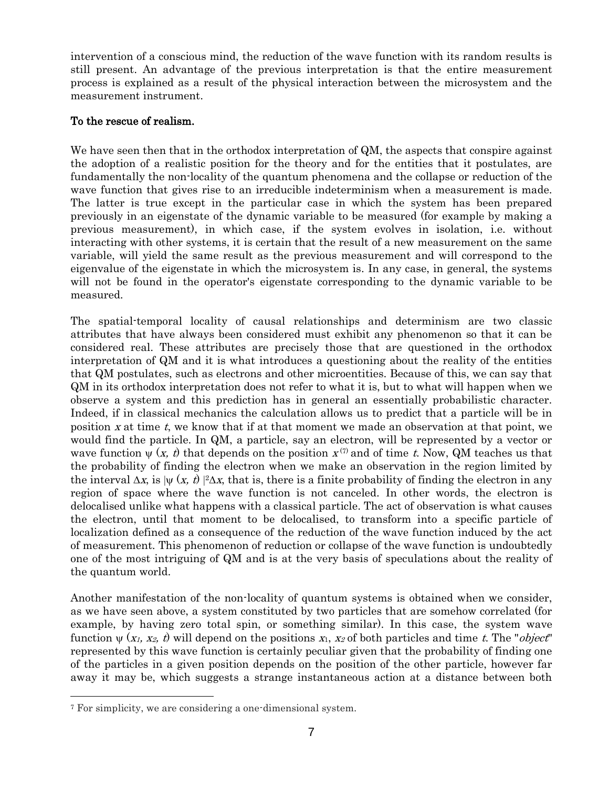intervention of a conscious mind, the reduction of the wave function with its random results is still present. An advantage of the previous interpretation is that the entire measurement process is explained as a result of the physical interaction between the microsystem and the measurement instrument.

## To the rescue of realism.

We have seen then that in the orthodox interpretation of QM, the aspects that conspire against the adoption of a realistic position for the theory and for the entities that it postulates, are fundamentally the non-locality of the quantum phenomena and the collapse or reduction of the wave function that gives rise to an irreducible indeterminism when a measurement is made. The latter is true except in the particular case in which the system has been prepared previously in an eigenstate of the dynamic variable to be measured (for example by making a previous measurement), in which case, if the system evolves in isolation, i.e. without interacting with other systems, it is certain that the result of a new measurement on the same variable, will yield the same result as the previous measurement and will correspond to the eigenvalue of the eigenstate in which the microsystem is. In any case, in general, the systems will not be found in the operator's eigenstate corresponding to the dynamic variable to be measured.

The spatial-temporal locality of causal relationships and determinism are two classic attributes that have always been considered must exhibit any phenomenon so that it can be considered real. These attributes are precisely those that are questioned in the orthodox interpretation of QM and it is what introduces a questioning about the reality of the entities that QM postulates, such as electrons and other microentities. Because of this, we can say that QM in its orthodox interpretation does not refer to what it is, but to what will happen when we observe a system and this prediction has in general an essentially probabilistic character. Indeed, if in classical mechanics the calculation allows us to predict that a particle will be in position  $x$  at time  $t$ , we know that if at that moment we made an observation at that point, we would find the particle. In QM, a particle, say an electron, will be represented by a vector or wave function  $\psi(x, t)$  that depends on the position  $x^{(7)}$  and of time t. Now, QM teaches us that the probability of finding the electron when we make an observation in the region limited by the interval  $\Delta x$ , is  $|\psi(x, t)|^2 \Delta x$ , that is, there is a finite probability of finding the electron in any region of space where the wave function is not canceled. In other words, the electron is delocalised unlike what happens with a classical particle. The act of observation is what causes the electron, until that moment to be delocalised, to transform into a specific particle of localization defined as a consequence of the reduction of the wave function induced by the act of measurement. This phenomenon of reduction or collapse of the wave function is undoubtedly one of the most intriguing of QM and is at the very basis of speculations about the reality of the quantum world.

Another manifestation of the non-locality of quantum systems is obtained when we consider, as we have seen above, a system constituted by two particles that are somehow correlated (for example, by having zero total spin, or something similar). In this case, the system wave function  $\psi(x_1, x_2, t)$  will depend on the positions  $x_1, x_2$  of both particles and time t. The "*object*" represented by this wave function is certainly peculiar given that the probability of finding one of the particles in a given position depends on the position of the other particle, however far away it may be, which suggests a strange instantaneous action at a distance between both

<sup>7</sup> For simplicity, we are considering a one-dimensional system.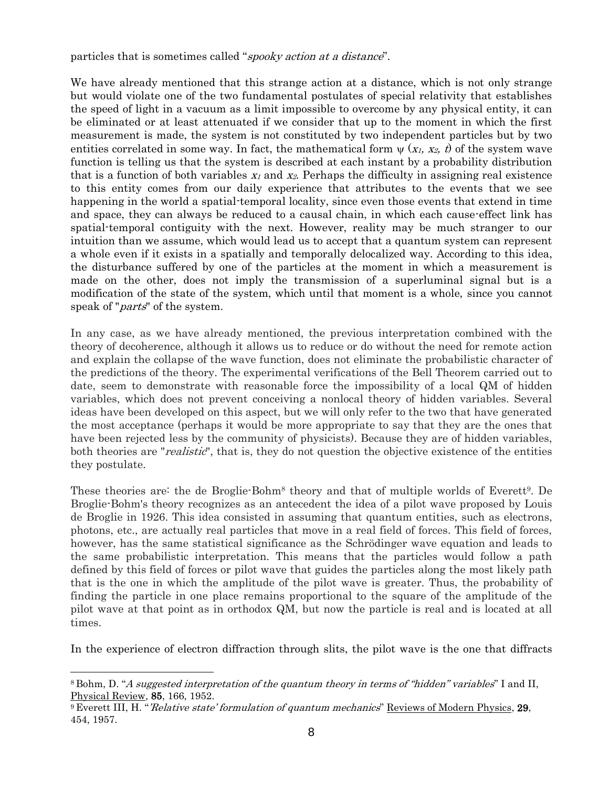particles that is sometimes called "spooky action at a distance".

We have already mentioned that this strange action at a distance, which is not only strange but would violate one of the two fundamental postulates of special relativity that establishes the speed of light in a vacuum as a limit impossible to overcome by any physical entity, it can be eliminated or at least attenuated if we consider that up to the moment in which the first measurement is made, the system is not constituted by two independent particles but by two entities correlated in some way. In fact, the mathematical form  $\psi(x_1, x_2, t)$  of the system wave function is telling us that the system is described at each instant by a probability distribution that is a function of both variables  $x_1$  and  $x_2$ . Perhaps the difficulty in assigning real existence to this entity comes from our daily experience that attributes to the events that we see happening in the world a spatial-temporal locality, since even those events that extend in time and space, they can always be reduced to a causal chain, in which each cause-effect link has spatial-temporal contiguity with the next. However, reality may be much stranger to our intuition than we assume, which would lead us to accept that a quantum system can represent a whole even if it exists in a spatially and temporally delocalized way. According to this idea, the disturbance suffered by one of the particles at the moment in which a measurement is made on the other, does not imply the transmission of a superluminal signal but is a modification of the state of the system, which until that moment is a whole, since you cannot speak of "*parts*" of the system.

In any case, as we have already mentioned, the previous interpretation combined with the theory of decoherence, although it allows us to reduce or do without the need for remote action and explain the collapse of the wave function, does not eliminate the probabilistic character of the predictions of the theory. The experimental verifications of the Bell Theorem carried out to date, seem to demonstrate with reasonable force the impossibility of a local QM of hidden variables, which does not prevent conceiving a nonlocal theory of hidden variables. Several ideas have been developed on this aspect, but we will only refer to the two that have generated the most acceptance (perhaps it would be more appropriate to say that they are the ones that have been rejected less by the community of physicists). Because they are of hidden variables, both theories are "*realistic*", that is, they do not question the objective existence of the entities they postulate.

These theories are: the de Broglie-Bohm<sup>8</sup> theory and that of multiple worlds of Everett<sup>9</sup>. De Broglie-Bohm's theory recognizes as an antecedent the idea of a pilot wave proposed by Louis de Broglie in 1926. This idea consisted in assuming that quantum entities, such as electrons, photons, etc., are actually real particles that move in a real field of forces. This field of forces, however, has the same statistical significance as the Schrödinger wave equation and leads to the same probabilistic interpretation. This means that the particles would follow a path defined by this field of forces or pilot wave that guides the particles along the most likely path that is the one in which the amplitude of the pilot wave is greater. Thus, the probability of finding the particle in one place remains proportional to the square of the amplitude of the pilot wave at that point as in orthodox QM, but now the particle is real and is located at all times.

In the experience of electron diffraction through slits, the pilot wave is the one that diffracts

<sup>8</sup> Bohm, D. "A suggested interpretation of the quantum theory in terms of "hidden" variables" I and II, Physical Review, 85, 166, 1952.

<sup>&</sup>lt;sup>9</sup> Everett III, H. "Relative state' formulation of quantum mechanics" Reviews of Modern Physics, 29, 454, 1957.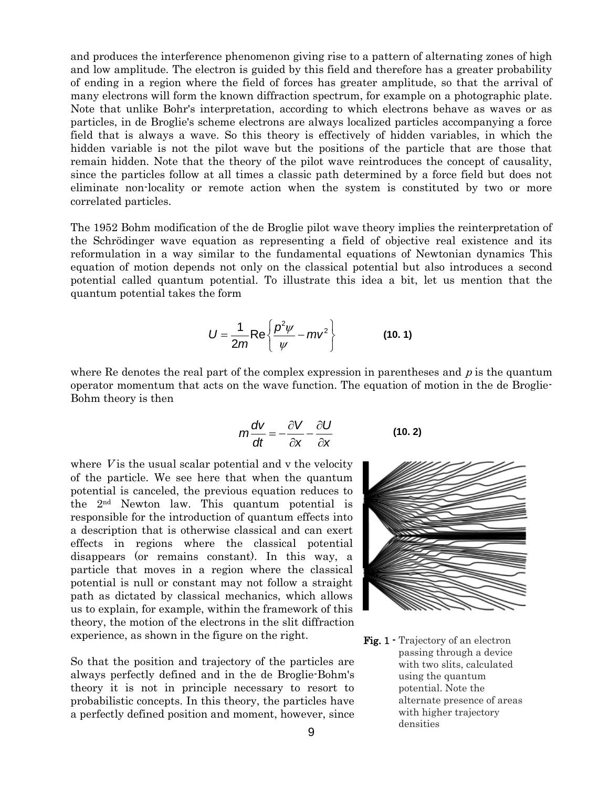and produces the interference phenomenon giving rise to a pattern of alternating zones of high and low amplitude. The electron is guided by this field and therefore has a greater probability of ending in a region where the field of forces has greater amplitude, so that the arrival of many electrons will form the known diffraction spectrum, for example on a photographic plate. Note that unlike Bohr's interpretation, according to which electrons behave as waves or as particles, in de Broglie's scheme electrons are always localized particles accompanying a force field that is always a wave. So this theory is effectively of hidden variables, in which the hidden variable is not the pilot wave but the positions of the particle that are those that remain hidden. Note that the theory of the pilot wave reintroduces the concept of causality, since the particles follow at all times a classic path determined by a force field but does not eliminate non-locality or remote action when the system is constituted by two or more correlated particles.

The 1952 Bohm modification of the de Broglie pilot wave theory implies the reinterpretation of the Schrödinger wave equation as representing a field of objective real existence and its reformulation in a way similar to the fundamental equations of Newtonian dynamics This equation of motion depends not only on the classical potential but also introduces a second potential called quantum potential. To illustrate this idea a bit, let us mention that the quantum potential takes the form

$$
U = \frac{1}{2m} \text{Re} \left\{ \frac{p^2 \psi}{\psi} - mv^2 \right\}
$$
 (10.1)

where Re denotes the real part of the complex expression in parentheses and  $p$  is the quantum operator momentum that acts on the wave function. The equation of motion in the de Broglie-Bohm theory is then

$$
m\frac{dv}{dt} = -\frac{\partial V}{\partial x} - \frac{\partial U}{\partial x}
$$
 (10. 2)

where  $V$  is the usual scalar potential and  $v$  the velocity of the particle. We see here that when the quantum potential is canceled, the previous equation reduces to the 2nd Newton law. This quantum potential is responsible for the introduction of quantum effects into a description that is otherwise classical and can exert effects in regions where the classical potential disappears (or remains constant). In this way, a particle that moves in a region where the classical potential is null or constant may not follow a straight path as dictated by classical mechanics, which allows us to explain, for example, within the framework of this theory, the motion of the electrons in the slit diffraction experience, as shown in the figure on the right.

So that the position and trajectory of the particles are always perfectly defined and in the de Broglie-Bohm's theory it is not in principle necessary to resort to probabilistic concepts. In this theory, the particles have a perfectly defined position and moment, however, since

$$
\left\|\left\|\left\|\left\|\left\|\left\|\right\|\right\|\right\|\right\|\right\|\right\|
$$

Fig. 1 - Trajectory of an electron passing through a device with two slits, calculated using the quantum potential. Note the alternate presence of areas with higher trajectory densities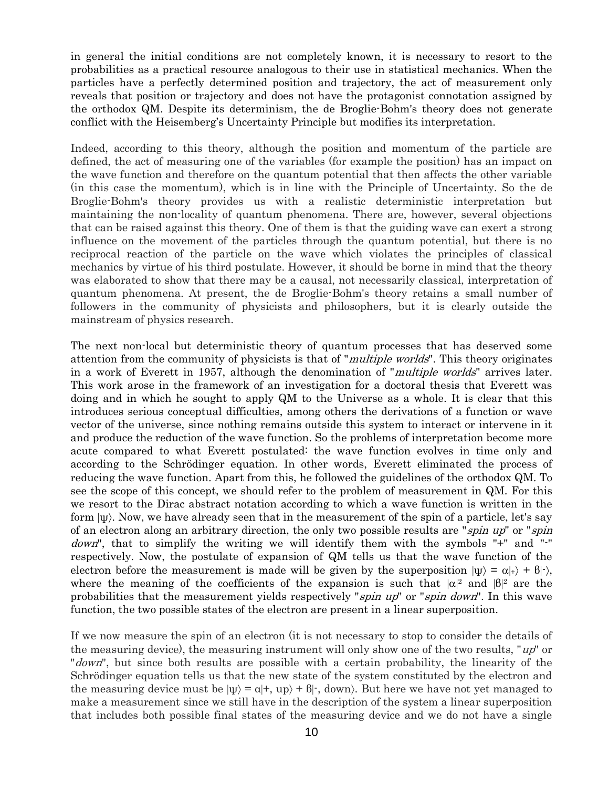in general the initial conditions are not completely known, it is necessary to resort to the probabilities as a practical resource analogous to their use in statistical mechanics. When the particles have a perfectly determined position and trajectory, the act of measurement only reveals that position or trajectory and does not have the protagonist connotation assigned by the orthodox QM. Despite its determinism, the de Broglie-Bohm's theory does not generate conflict with the Heisemberg's Uncertainty Principle but modifies its interpretation.

Indeed, according to this theory, although the position and momentum of the particle are defined, the act of measuring one of the variables (for example the position) has an impact on the wave function and therefore on the quantum potential that then affects the other variable (in this case the momentum), which is in line with the Principle of Uncertainty. So the de Broglie-Bohm's theory provides us with a realistic deterministic interpretation but maintaining the non-locality of quantum phenomena. There are, however, several objections that can be raised against this theory. One of them is that the guiding wave can exert a strong influence on the movement of the particles through the quantum potential, but there is no reciprocal reaction of the particle on the wave which violates the principles of classical mechanics by virtue of his third postulate. However, it should be borne in mind that the theory was elaborated to show that there may be a causal, not necessarily classical, interpretation of quantum phenomena. At present, the de Broglie-Bohm's theory retains a small number of followers in the community of physicists and philosophers, but it is clearly outside the mainstream of physics research.

The next non-local but deterministic theory of quantum processes that has deserved some attention from the community of physicists is that of "multiple worlds". This theory originates in a work of Everett in 1957, although the denomination of "multiple worlds" arrives later. This work arose in the framework of an investigation for a doctoral thesis that Everett was doing and in which he sought to apply QM to the Universe as a whole. It is clear that this introduces serious conceptual difficulties, among others the derivations of a function or wave vector of the universe, since nothing remains outside this system to interact or intervene in it and produce the reduction of the wave function. So the problems of interpretation become more acute compared to what Everett postulated: the wave function evolves in time only and according to the Schrödinger equation. In other words, Everett eliminated the process of reducing the wave function. Apart from this, he followed the guidelines of the orthodox QM. To see the scope of this concept, we should refer to the problem of measurement in QM. For this we resort to the Dirac abstract notation according to which a wave function is written in the form  $|\psi\rangle$ . Now, we have already seen that in the measurement of the spin of a particle, let's say of an electron along an arbitrary direction, the only two possible results are "spin up" or "spin down", that to simplify the writing we will identify them with the symbols "+" and "-" respectively. Now, the postulate of expansion of QM tells us that the wave function of the electron before the measurement is made will be given by the superposition  $|\psi\rangle = \alpha |+\rangle + \beta |-\rangle$ , where the meaning of the coefficients of the expansion is such that  $|\alpha|^2$  and  $|\beta|^2$  are the probabilities that the measurement yields respectively "spin up" or "spin down". In this wave function, the two possible states of the electron are present in a linear superposition.

If we now measure the spin of an electron (it is not necessary to stop to consider the details of the measuring device), the measuring instrument will only show one of the two results, " $up$ " or "*down*", but since both results are possible with a certain probability, the linearity of the Schrödinger equation tells us that the new state of the system constituted by the electron and the measuring device must be  $|\psi\rangle = a|+, \langle \psi \rangle + b|, \langle \psi \rangle$ . But here we have not yet managed to make a measurement since we still have in the description of the system a linear superposition that includes both possible final states of the measuring device and we do not have a single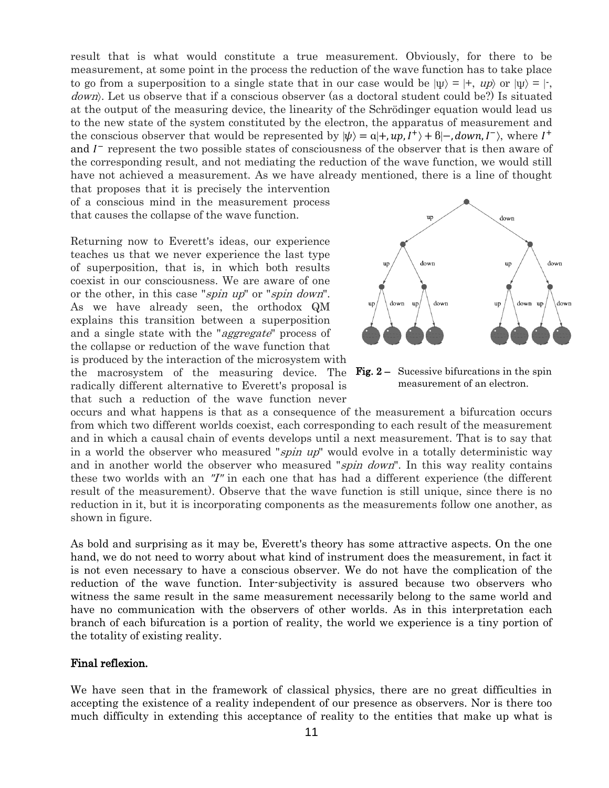result that is what would constitute a true measurement. Obviously, for there to be measurement, at some point in the process the reduction of the wave function has to take place to go from a superposition to a single state that in our case would be  $|\psi\rangle = |+$ ,  $|\psi\rangle$  or  $|\psi\rangle = |+$ . down. Let us observe that if a conscious observer (as a doctoral student could be?) Is situated at the output of the measuring device, the linearity of the Schrödinger equation would lead us to the new state of the system constituted by the electron, the apparatus of measurement and the conscious observer that would be represented by  $|\psi\rangle = a|+, \nu p, I^+\rangle + b|-, down, I^-\rangle$ , where  $I^+$ and  $I<sup>-</sup>$  represent the two possible states of consciousness of the observer that is then aware of the corresponding result, and not mediating the reduction of the wave function, we would still have not achieved a measurement. As we have already mentioned, there is a line of thought

that proposes that it is precisely the intervention of a conscious mind in the measurement process that causes the collapse of the wave function.

Returning now to Everett's ideas, our experience teaches us that we never experience the last type of superposition, that is, in which both results coexist in our consciousness. We are aware of one or the other, in this case "*spin up*" or "*spin down*". As we have already seen, the orthodox QM explains this transition between a superposition and a single state with the "aggregate" process of the collapse or reduction of the wave function that is produced by the interaction of the microsystem with the macrosystem of the measuring device. The radically different alternative to Everett's proposal is that such a reduction of the wave function never



down

 $\overline{\text{m}}$ 

down

up

down up

up

down

up

down up

up

down

down

Fig. 2 – Sucessive bifurcations in the spin measurement of an electron.

occurs and what happens is that as a consequence of the measurement a bifurcation occurs from which two different worlds coexist, each corresponding to each result of the measurement and in which a causal chain of events develops until a next measurement. That is to say that in a world the observer who measured "*spin up*" would evolve in a totally deterministic way and in another world the observer who measured "spin down". In this way reality contains these two worlds with an "I" in each one that has had a different experience (the different result of the measurement). Observe that the wave function is still unique, since there is no reduction in it, but it is incorporating components as the measurements follow one another, as shown in figure.

As bold and surprising as it may be, Everett's theory has some attractive aspects. On the one hand, we do not need to worry about what kind of instrument does the measurement, in fact it is not even necessary to have a conscious observer. We do not have the complication of the reduction of the wave function. Inter-subjectivity is assured because two observers who witness the same result in the same measurement necessarily belong to the same world and have no communication with the observers of other worlds. As in this interpretation each branch of each bifurcation is a portion of reality, the world we experience is a tiny portion of the totality of existing reality.

### Final reflexion.

We have seen that in the framework of classical physics, there are no great difficulties in accepting the existence of a reality independent of our presence as observers. Nor is there too much difficulty in extending this acceptance of reality to the entities that make up what is